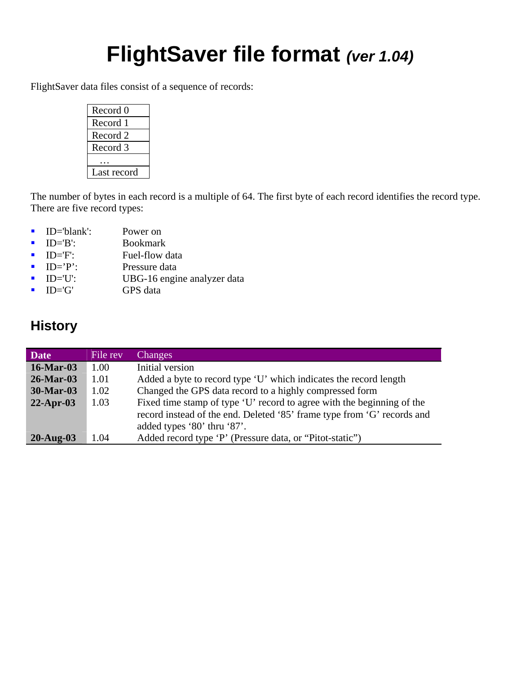# **FlightSaver file format** *(ver 1.04)*

FlightSaver data files consist of a sequence of records:

| Record 0    |
|-------------|
| Record 1    |
| Record 2    |
| Record 3    |
|             |
| Last record |

The number of bytes in each record is a multiple of 64. The first byte of each record identifies the record type. There are five record types:

- **ID**='blank': Power on
- **ID='B':** Bookmark
- **ID**='F': Fuel-flow data
- **ID**='P': Pressure data
- **ID='U':** UBG-16 engine analyzer data
- **ID='G'** GPS data

## **History**

| <b>Date</b>      | File rev | Changes                                                                 |
|------------------|----------|-------------------------------------------------------------------------|
| <b>16-Mar-03</b> | 1.00     | Initial version                                                         |
| $26$ -Mar-03     | 1.01     | Added a byte to record type 'U' which indicates the record length       |
| <b>30-Mar-03</b> | 1.02     | Changed the GPS data record to a highly compressed form                 |
| $22$ -Apr-03     | 1.03     | Fixed time stamp of type 'U' record to agree with the beginning of the  |
|                  |          | record instead of the end. Deleted '85' frame type from 'G' records and |
|                  |          | added types '80' thru '87'.                                             |
| $20$ -Aug- $03$  | 1.04     | Added record type 'P' (Pressure data, or "Pitot-static")                |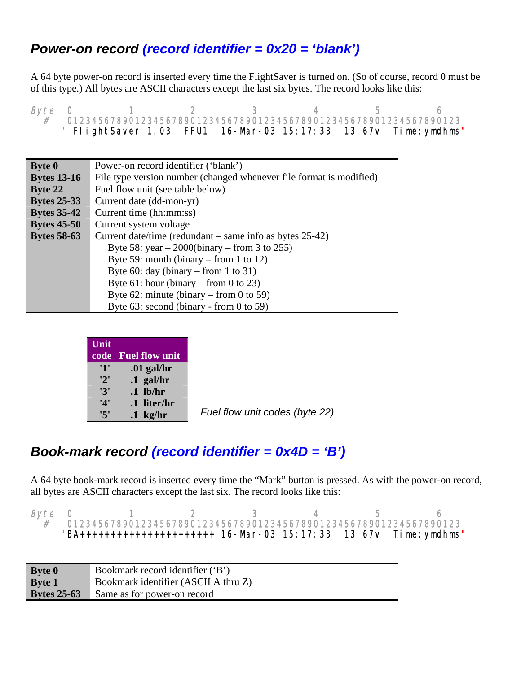### *Power-on record (record identifier = 0x20 = 'blank')*

A 64 byte power-on record is inserted every time the FlightSaver is turned on. (So of course, record 0 must be of this type.) All bytes are ASCII characters except the last six bytes. The record looks like this:

*Byte* 0 1 2 3 4 5 6<br># 0123456789012345678901234567890123456789012345678901234567890123 " FlightSaver 1.03 FFU1 16-Mar-03 15:17:33 13.67v Time: ymdhms"

| <b>Byte 0</b>      | Power-on record identifier ('blank')                                |  |  |  |  |  |  |
|--------------------|---------------------------------------------------------------------|--|--|--|--|--|--|
| <b>Bytes 13-16</b> | File type version number (changed whenever file format is modified) |  |  |  |  |  |  |
| <b>Byte 22</b>     | Fuel flow unit (see table below)                                    |  |  |  |  |  |  |
| <b>Bytes 25-33</b> | Current date (dd-mon-yr)                                            |  |  |  |  |  |  |
| <b>Bytes 35-42</b> | Current time (hh:mm:ss)                                             |  |  |  |  |  |  |
| <b>Bytes 45-50</b> | Current system voltage                                              |  |  |  |  |  |  |
| <b>Bytes 58-63</b> | Current date/time (redundant $-$ same info as bytes 25-42)          |  |  |  |  |  |  |
|                    | Byte 58: year $-2000$ (binary $-$ from 3 to 255)                    |  |  |  |  |  |  |
|                    | Byte 59: month (binary – from 1 to 12)                              |  |  |  |  |  |  |
|                    | Byte 60: day (binary – from 1 to 31)                                |  |  |  |  |  |  |
|                    | Byte 61: hour (binary – from 0 to 23)                               |  |  |  |  |  |  |
|                    | Byte 62: minute (binary – from 0 to 59)                             |  |  |  |  |  |  |
|                    | Byte $63$ : second (binary - from 0 to 59)                          |  |  |  |  |  |  |

| Unit |                       |
|------|-----------------------|
| code | <b>Fuel flow unit</b> |
| '1'  | $.01$ gal/hr          |
| '2'  | $.1$ gal/hr           |
| '3'  | $.1$ lb/hr            |
| '4'  | .1 liter/hr           |
| 5'   | $.1$ kg/hr            |

*Fuel flow unit codes (byte 22)* 

### *Book-mark record (record identifier = 0x4D = 'B')*

A 64 byte book-mark record is inserted every time the "Mark" button is pressed. As with the power-on record, all bytes are ASCII characters except the last six. The record looks like this:

| <i>Byte</i> 0 |  |  |  |                                                                                                                                          |
|---------------|--|--|--|------------------------------------------------------------------------------------------------------------------------------------------|
|               |  |  |  | # 0123456789012345678901234567890123456789012345678901234567890123<br>"BA+++++++++++++++++++++++ 16-Mar-03 15:17:33 13.67v Time: ymdhms" |

| <b>Byte 0</b>      | Bookmark record identifier ('B')     |
|--------------------|--------------------------------------|
| <b>Byte 1</b>      | Bookmark identifier (ASCII A thru Z) |
| <b>Bytes 25-63</b> | Same as for power-on record          |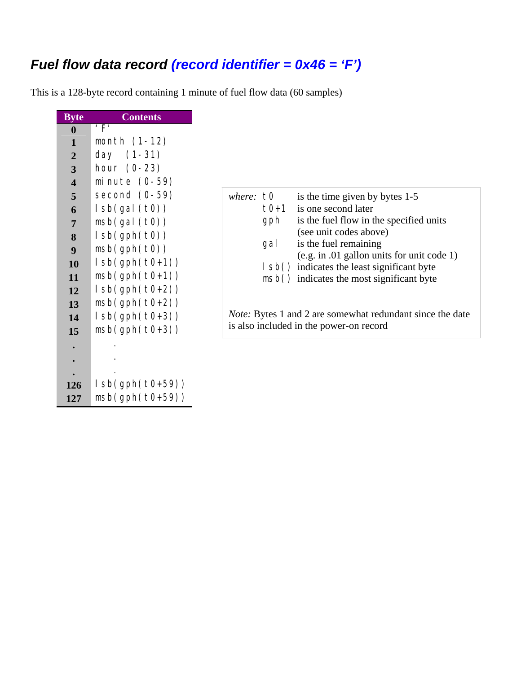## *Fuel flow data record (record identifier = 0x46 = 'F')*

This is a 128-byte record containing 1 minute of fuel flow data (60 samples)

| <b>Byte</b>             | <b>Contents</b>           |
|-------------------------|---------------------------|
| $\bf{0}$                | $^{\prime}$ F $^{\prime}$ |
| 1                       | month (1-12)              |
| $\overline{2}$          | $(1-31)$<br>day           |
| 3                       | hour (0-23)               |
| $\overline{\mathbf{4}}$ | minute (0-59)             |
| 5                       | second (0-59)             |
| 6                       | lsb(gal(t0))              |
| $\overline{7}$          | msb(gal(t0))              |
| 8                       | $l$ sb(gph(t0))           |
| 9                       | msb(gph(t0))              |
| 10                      | $l$ sb(gph(t0+1))         |
| 11                      | $msb(gph(t0+1))$          |
| 12                      | $l$ sb(gph(t0+2))         |
| 13                      | $msb(gph(t0+2))$          |
| 14                      | $l$ sb(gph(t0+3))         |
| 15                      | $msb(gph(t0+3))$          |
|                         |                           |
|                         |                           |
|                         |                           |
| 126                     | $l$ sb(gph(t0+59))        |
| 127                     | $msb(gph(t0+59))$         |

| where: $\pm 0$ |        | is the time given by bytes 1-5                                                                              |
|----------------|--------|-------------------------------------------------------------------------------------------------------------|
|                | $t0+1$ | is one second later                                                                                         |
|                | gph    | is the fuel flow in the specified units                                                                     |
|                |        | (see unit codes above)                                                                                      |
|                | gal    | is the fuel remaining                                                                                       |
|                |        | $(e.g. in .01$ gallon units for unit code 1)                                                                |
|                |        | (spl) indicates the least significant byte                                                                  |
|                |        | msb() indicates the most significant byte                                                                   |
|                |        |                                                                                                             |
|                |        |                                                                                                             |
|                |        | <i>Note:</i> Bytes 1 and 2 are somewhat redundant since the date<br>is also included in the power-on record |
|                |        |                                                                                                             |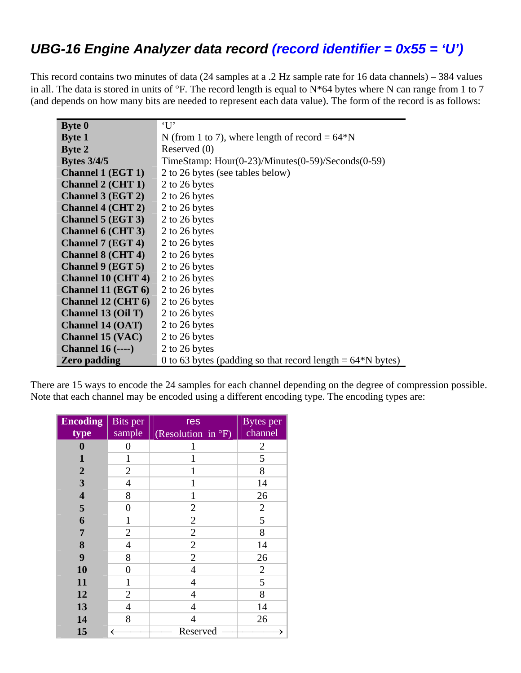## *UBG-16 Engine Analyzer data record (record identifier = 0x55 = 'U')*

This record contains two minutes of data (24 samples at a .2 Hz sample rate for 16 data channels) – 384 values in all. The data is stored in units of  $\degree$ F. The record length is equal to N<sup>\*64</sup> bytes where N can range from 1 to 7 (and depends on how many bits are needed to represent each data value). The form of the record is as follows:

| <b>Byte 0</b>                        | $\cdot_{\mathrm{U}}$                                          |
|--------------------------------------|---------------------------------------------------------------|
| <b>Byte 1</b>                        | N (from 1 to 7), where length of record = $64*N$              |
| <b>Byte 2</b>                        | Reserved (0)                                                  |
| <b>Bytes 3/4/5</b>                   | TimeStamp: $Hour(0-23)/Minutes(0-59)/Seconds(0-59)$           |
| <b>Channel 1 (EGT 1)</b>             | 2 to 26 bytes (see tables below)                              |
| <b>Channel 2 (CHT 1)</b>             | 2 to 26 bytes                                                 |
| <b>Channel 3 (EGT 2)</b>             | 2 to 26 bytes                                                 |
| <b>Channel 4 (CHT 2)</b>             | 2 to 26 bytes                                                 |
| <b>Channel 5 (EGT 3)</b>             | 2 to 26 bytes                                                 |
| <b>Channel 6 (CHT 3)</b>             | 2 to 26 bytes                                                 |
| <b>Channel 7 (EGT 4)</b>             | 2 to 26 bytes                                                 |
| <b>Channel 8 (CHT 4)</b>             | 2 to 26 bytes                                                 |
| <b>Channel 9 (EGT 5)</b>             | 2 to 26 bytes                                                 |
| <b>Channel 10 (CHT 4)</b>            | 2 to 26 bytes                                                 |
| Channel 11 (EGT 6)                   | 2 to 26 bytes                                                 |
| <b>Channel 12 (CHT 6)</b>            | 2 to 26 bytes                                                 |
| <b>Channel 13 (Oil T)</b>            | 2 to 26 bytes                                                 |
| <b>Channel 14 (OAT)</b>              | 2 to 26 bytes                                                 |
| <b>Channel 15 (VAC)</b>              | 2 to 26 bytes                                                 |
| <b>Channel 16 <math>(</math></b> $)$ | 2 to 26 bytes                                                 |
| <b>Zero padding</b>                  | 0 to 63 bytes (padding so that record length $= 64*$ N bytes) |

There are 15 ways to encode the 24 samples for each channel depending on the degree of compression possible. Note that each channel may be encoded using a different encoding type. The encoding types are:

| <b>Encoding</b><br>type | <b>Bits</b> per<br>sample | res<br>(Resolution in °F) | <b>Bytes</b> per<br>channel |
|-------------------------|---------------------------|---------------------------|-----------------------------|
| $\boldsymbol{0}$        | 0                         | 1                         | 2                           |
| 1                       | 1                         | 1                         | 5                           |
| $\boldsymbol{2}$        | $\overline{2}$            | 1                         | 8                           |
| $\overline{\mathbf{3}}$ | 4                         | 1                         | 14                          |
| $\overline{\mathbf{4}}$ | 8                         | 1                         | 26                          |
| 5                       | $\boldsymbol{0}$          | $\mathfrak{2}$            | $\mathbf{2}$                |
| 6                       | 1                         | $\overline{2}$            | 5                           |
| $\overline{7}$          | $\overline{2}$            | $\overline{2}$            | 8                           |
| 8                       | 4                         | $\overline{2}$            | 14                          |
| 9                       | 8                         | $\overline{2}$            | 26                          |
| 10                      | $\boldsymbol{0}$          | $\overline{4}$            | $\overline{2}$              |
| 11                      | $\mathbf{1}$              | $\overline{4}$            | 5                           |
| 12                      | $\overline{2}$            | $\overline{4}$            | 8                           |
| 13                      | 4                         | 4                         | 14                          |
| 14                      | 8                         | $\overline{4}$            | 26                          |
| 15                      | ←                         | Reserved                  |                             |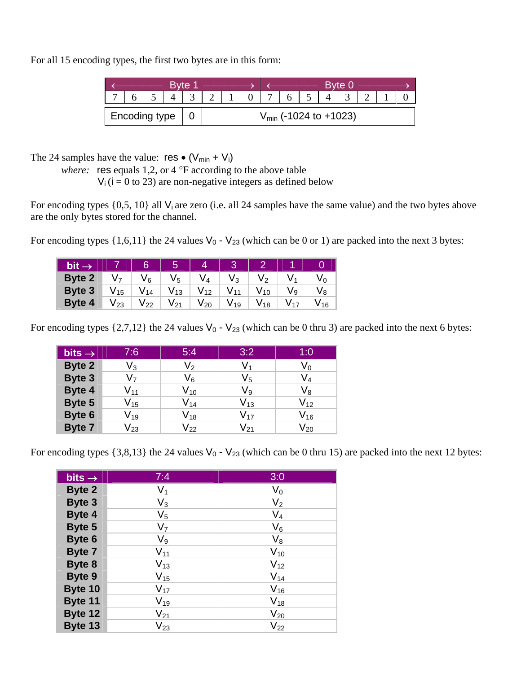For all 15 encoding types, the first two bytes are in this form:

| <b>Byte 1</b> |                 |  |  |  |                                   | <b>Byte 0</b> |  |  |   |  |  |  |  |  |  |
|---------------|-----------------|--|--|--|-----------------------------------|---------------|--|--|---|--|--|--|--|--|--|
|               |                 |  |  |  |                                   |               |  |  | 6 |  |  |  |  |  |  |
|               | Fncoding type 1 |  |  |  | $V_{\text{min}}$ (-1024 to +1023) |               |  |  |   |  |  |  |  |  |  |

The 24 samples have the value:  $res \bullet (V_{min} + V_i)$ 

*where:* res equals 1,2, or 4 °F according to the above table

 $V_i$  ( $i = 0$  to 23) are non-negative integers as defined below

For encoding types  $\{0,5, 10\}$  all V<sub>i</sub> are zero (i.e. all 24 samples have the same value) and the two bytes above are the only bytes stored for the channel.

For encoding types  $\{1,6,11\}$  the 24 values  $V_0$  -  $V_{23}$  (which can be 0 or 1) are packed into the next 3 bytes:

| $bit \rightarrow$ |          | 6                          | $\overline{5}$  |                 |      |      |      |    |
|-------------------|----------|----------------------------|-----------------|-----------------|------|------|------|----|
| <b>Byte 2</b>     | V7       | V <sub>6</sub>             | $V_5$           | V⊿              | V٩   | Vっ   |      |    |
| Byte 3            | $V_{15}$ | $\mathsf{V}_{\mathsf{14}}$ | V 13            | V <sub>12</sub> | V 11 | V 10 | V 9  | V8 |
| Byte 4            | V 23     | $\mathsf{V}_{22}$          | V <sub>21</sub> | V 20            | V 19 | V 18 | V 17 | 16 |

For encoding types  $\{2,7,12\}$  the 24 values  $V_0$  -  $V_{23}$  (which can be 0 thru 3) are packed into the next 6 bytes:

| bits $\rightarrow$ | 7:6                        | 5:4                        | 3:2               | 1:0                        |
|--------------------|----------------------------|----------------------------|-------------------|----------------------------|
| Byte 2             | $\mathsf{V}_3$             | V2                         | V1                | V٥                         |
| Byte 3             | V <sub>7</sub>             | $V_6$                      | $V_5$             | $\mathsf{V}_4$             |
| Byte 4             | $\mathsf{V}_{\mathsf{11}}$ | $\mathsf{V}_{\mathsf{10}}$ | $V_9$             | $V_8$                      |
| Byte 5             | $\mathsf{V}_{\mathsf{15}}$ | $\mathsf{V}_{\mathsf{14}}$ | $\mathsf{V}_{13}$ | $V_{12}$                   |
| Byte 6             | $\mathsf{V}_{\mathtt{19}}$ | $\mathsf{V}_{\mathsf{18}}$ | $V_{17}$          | $\mathsf{V}_{\mathsf{16}}$ |
| <b>Byte 7</b>      | $\mathsf{V}_{23}$          | $\mathsf{V}_{22}$          | $\mathsf{V}_{21}$ | $V_{20}$                   |

For encoding types  $\{3,8,13\}$  the 24 values  $V_0$  -  $V_{23}$  (which can be 0 thru 15) are packed into the next 12 bytes:

| bits $\rightarrow$ | 7:4            | 3:0            |
|--------------------|----------------|----------------|
| <b>Byte 2</b>      | $V_1$          | $V_0$          |
| <b>Byte 3</b>      | $V_3$          | V <sub>2</sub> |
| Byte 4             | $V_5$          | $V_4$          |
| Byte 5             | V <sub>7</sub> | $V_6$          |
| Byte 6             | $V_9$          | $V_8$          |
| <b>Byte 7</b>      | $V_{11}$       | $V_{10}$       |
| Byte 8             | $V_{13}$       | $V_{12}$       |
| Byte 9             | $V_{15}$       | $V_{14}$       |
| Byte 10            | $V_{17}$       | $V_{16}$       |
| Byte 11            | $V_{19}$       | $V_{18}$       |
| Byte 12            | $V_{21}$       | $V_{20}$       |
| Byte 13            | $V_{23}$       | $V_{22}$       |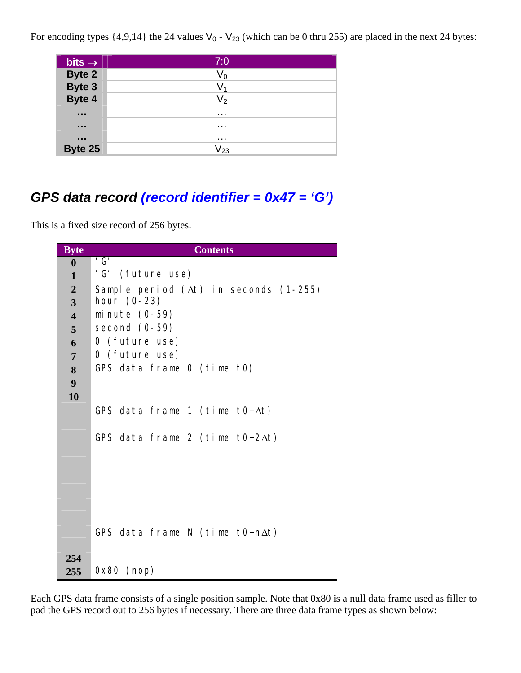For encoding types  $\{4,9,14\}$  the 24 values  $V_0$  -  $V_{23}$  (which can be 0 thru 255) are placed in the next 24 bytes:

| bits $\rightarrow$                                           | 7:0               |
|--------------------------------------------------------------|-------------------|
| Byte 2<br>Byte 3<br>Byte 4                                   | $\mathsf{V}_0$    |
|                                                              | $\mathsf{V}_1$    |
|                                                              | V <sub>2</sub>    |
| $\begin{array}{ccc} \bullet & \bullet & \bullet \end{array}$ | .                 |
| $\begin{array}{ccc} \bullet & \bullet & \bullet \end{array}$ | $\cdots$          |
| $\begin{array}{ccc} \bullet & \bullet & \bullet \end{array}$ | $\cdots$          |
| Byte 25                                                      | $\mathsf{V}_{23}$ |

## *GPS data record (record identifier = 0x47 = 'G')*

This is a fixed size record of 256 bytes.

| <b>Byte</b>             | <b>Contents</b>                               |  |  |  |  |
|-------------------------|-----------------------------------------------|--|--|--|--|
| $\boldsymbol{0}$        | $^{\prime}$ G $^{\prime}$                     |  |  |  |  |
| $\mathbf{1}$            | 'G' (future use)                              |  |  |  |  |
| $\overline{2}$          | Sample period $(\Delta t)$ in seconds (1-255) |  |  |  |  |
| 3                       | hour $(0-23)$                                 |  |  |  |  |
| $\overline{\mathbf{4}}$ | minute $(0-59)$                               |  |  |  |  |
| 5                       | second $(0-59)$                               |  |  |  |  |
| 6                       | 0 (future use)                                |  |  |  |  |
| $\overline{7}$          | 0 (future use)                                |  |  |  |  |
| 8                       | GPS data frame 0 (time t0)                    |  |  |  |  |
| 9                       |                                               |  |  |  |  |
| 10                      |                                               |  |  |  |  |
|                         | GPS data frame 1 (time $t0+\Delta t$ )        |  |  |  |  |
|                         |                                               |  |  |  |  |
|                         | GPS data frame 2 (time $t0+2\Delta t$ )       |  |  |  |  |
|                         |                                               |  |  |  |  |
|                         |                                               |  |  |  |  |
|                         |                                               |  |  |  |  |
|                         |                                               |  |  |  |  |
|                         |                                               |  |  |  |  |
|                         |                                               |  |  |  |  |
|                         | GPS data frame N (time t0+n $\Delta t$ )      |  |  |  |  |
|                         |                                               |  |  |  |  |
| 254                     |                                               |  |  |  |  |
| 255                     | $0x80$ (nop)                                  |  |  |  |  |

Each GPS data frame consists of a single position sample. Note that 0x80 is a null data frame used as filler to pad the GPS record out to 256 bytes if necessary. There are three data frame types as shown below: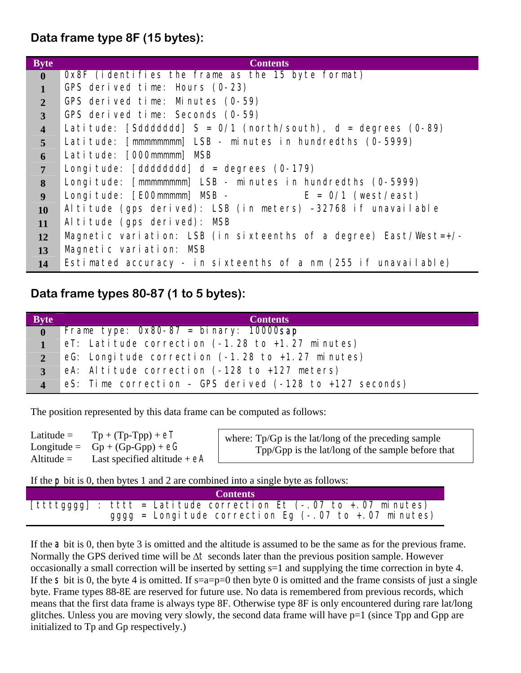**Data frame type 8F (15 bytes):** 

| <b>Byte</b>             | <b>Contents</b>                                                   |
|-------------------------|-------------------------------------------------------------------|
| $\bf{0}$                | Ox8F (identifies the frame as the 15 byte format)                 |
|                         | GPS derived time: Hours (0-23)                                    |
| $\overline{2}$          | GPS derived time: Minutes (0-59)                                  |
| $\overline{3}$          | GPS derived time: Seconds (0-59)                                  |
| $\overline{\mathbf{4}}$ | Latitude: [Sddddddd] $S = 0/1$ (north/south), d = degrees (0-89)  |
| 5                       | Latitude: [mmmmmmmm] LSB - minutes in hundredths (0-5999)         |
| 6                       | Latitude: [000mmmmm] MSB                                          |
| $\overline{7}$          | Longitude: $[dddddddd]$ d = degrees $(0-179)$                     |
| 8                       | Longitude: [mmmmmmmm] LSB - minutes in hundredths (0-5999)        |
| $\boldsymbol{9}$        | Longitude: $[EOOmmmm]$ MSB - $E = 0/1$ (west/east)                |
| <b>10</b>               | Altitude (gps derived): LSB (in meters) -32768 if unavailable     |
| 11                      | Altitude (gps derived): MSB                                       |
| <b>12</b>               | Magnetic variation: LSB (in sixteenths of a degree) East/West=+/- |
| 13                      | Magnetic variation: MSB                                           |
| 14                      | Estimated accuracy - in sixteenths of a nm (255 if unavailable)   |

#### **Data frame types 80-87 (1 to 5 bytes):**

| <b>Byte</b>    | <b>Contents</b>                                                             |
|----------------|-----------------------------------------------------------------------------|
| $\mathbf{0}$   | Frame type: $0x80-87 = bi nary$ : 10000sap                                  |
| $\mathbf{1}$   | eT: Latitude correction $(-1.28 \text{ to } +1.27 \text{ minutes})$         |
| $2^{\circ}$    | eG: Longitude correction (-1.28 to +1.27 minutes)                           |
| 3 <sup>1</sup> | eA: Altitude correction $(-128 \text{ to } +127 \text{ meters})$            |
| $\overline{4}$ | eS: Time correction - GPS derived $(-128 \text{ to } +127 \text{ seconds})$ |

The position represented by this data frame can be computed as follows:

| $Tp + (Tp-Tpp) + eT$<br>Latitude $=$<br>Longitude = $Gp + (Gp-Gpp) + eG$<br>Last specified altitude $+eA$<br>Altitude $=$ | where: $\text{Tp/Gp}$ is the lat/long of the preceding sample<br>Tpp/Gpp is the lat/long of the sample before that |
|---------------------------------------------------------------------------------------------------------------------------|--------------------------------------------------------------------------------------------------------------------|
|---------------------------------------------------------------------------------------------------------------------------|--------------------------------------------------------------------------------------------------------------------|

If the p bit is 0, then bytes 1 and 2 are combined into a single byte as follows:

|  | <b>Contents</b>                                                     |
|--|---------------------------------------------------------------------|
|  | $[ttttgggg]$ : tttt = Latitude correction Et (-.07 to +.07 minutes) |
|  | $gggg =$ Longitude correction Eq (-.07 to +.07 minutes)             |

If the **a** bit is 0, then byte 3 is omitted and the altitude is assumed to be the same as for the previous frame. Normally the GPS derived time will be ∆t seconds later than the previous position sample. However occasionally a small correction will be inserted by setting s=1 and supplying the time correction in byte 4. If the  $S$  bit is 0, the byte 4 is omitted. If s=a=p=0 then byte 0 is omitted and the frame consists of just a single byte. Frame types 88-8E are reserved for future use. No data is remembered from previous records, which means that the first data frame is always type 8F. Otherwise type 8F is only encountered during rare lat/long glitches. Unless you are moving very slowly, the second data frame will have  $p=1$  (since Tpp and Gpp are initialized to Tp and Gp respectively.)